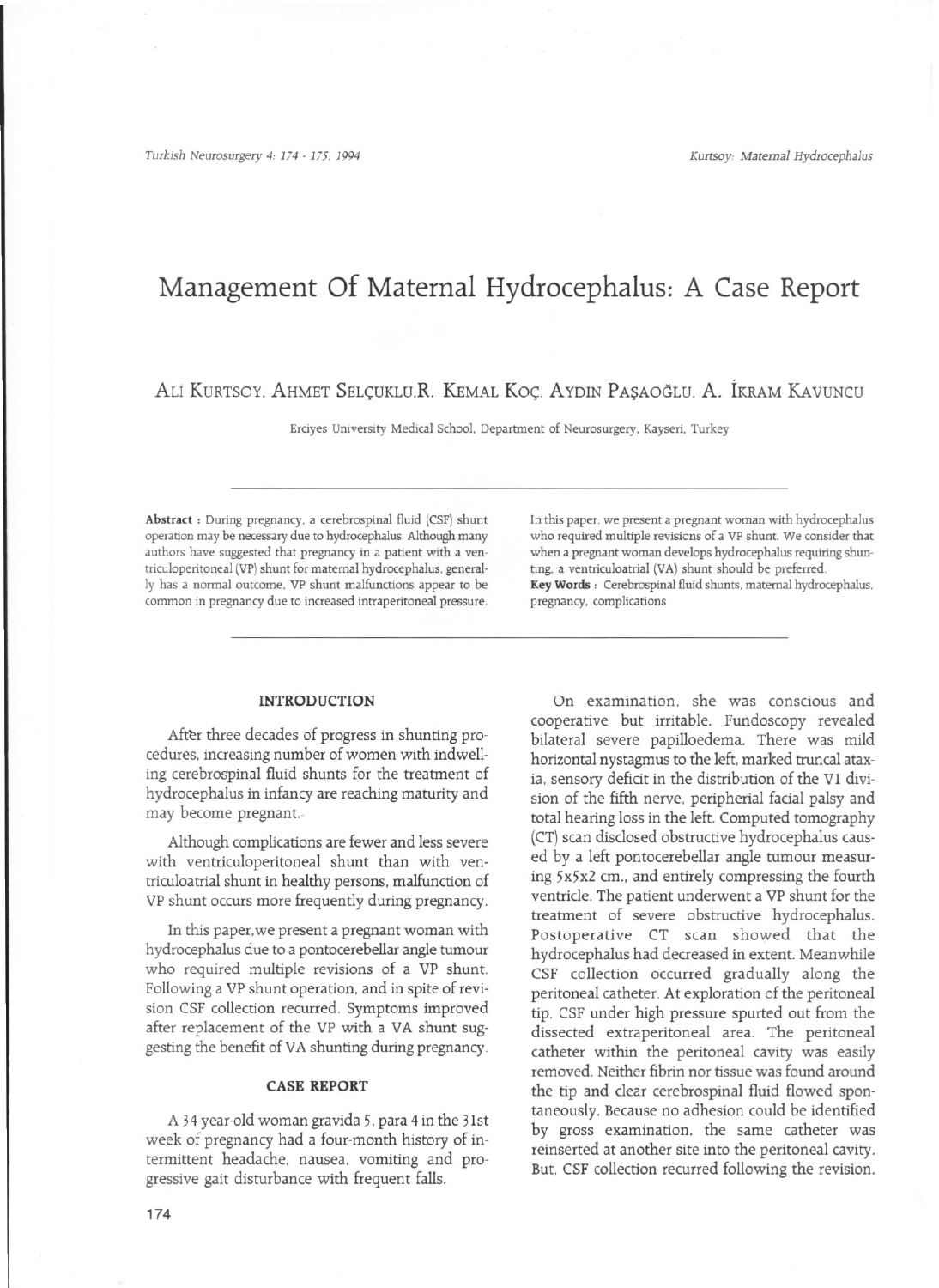*Turkish Neurosurgery* 4: 174 - 175, 1994 *Kurtsoy: Maternal Hydrocephalus*

# **Management of Maternal Hydrocephalus: A Case Report**

## ALI KURTSOY, AHMET SELÇUKLU,R. KEMAL Koç. AYDIN PASAOGLU. A. IKRAM KAVUNCU

Erdyes University Medical School. Department of Neurosurgery, Kayseri, Turkey

Abstract : During pregnancy, a cerebrospinal fluid (CSF) shunt operation may be necessary due to hydrocephalus. Although many authors have suggested that pregnancy in a patient with a ventriculoperitoneal (VP) shunt for maternal hydrocephalus, generally has a normal outcome. VP shunt malfunctions appear to be common in pregnancy due to increased intraperitoneal pressure.

#### **INTRODUCTION**

After three decades of progress in shunting procedures. increasing number of women with indwelling cerebrospinal fluid shunts for the treatment of hydrocephalus in infancy are reaching maturity and may become pregnant.

Although complications are fewer and less severe with ventriculoperitoneal shunt than with ventriculoatrial shunt in healthy persons. malfunction of VP shunt occurs more frequently during pregnancy.

In this paper.we present a pregnant woman with hydrocephalus due to a pontocerebellar angle tumour who required multiple revisions of a VP shunt. Following a VP shunt operation. and in spite of revision CSF collection recurred. Symptoms improved after replacement of the VP with a VA shunt suggesting the benefit of VA shunting during pregnancy.

## **CASE REPORT**

A 34-year-old woman gravida 5. para 4 in the 3Ist week of pregnancy had a four-month history of intermittent headache. nausea. vomiting and progressive gait disturbance with frequent fal1s.

174

In this paper. we present a pregnant woman with hydrocephalus who required multiple revisions of a VP shunt. We consider that when a pregnant woman develops hydrocephalus requiring shunting, a ventriculoatrial (VA) shunt should be preferred. Key Words: Cerebrospinal fluid shunts, maternal hydrocephalus, pregnancy. complications

On examination. she was conscious and cooperative but irritable. Fundoscopy revealed bilateral severe papilloedema. There was mild horizontal nystagmus to the left, marked truncal ataxia. sensory deficit in the distribution of the VI division of the fifth nerve, peripherial facial palsy and total hearing loss in the left. Computed tomography (CT) scan disclosed obstructive hydrocephalus caused by a left pontocerebellar angle tumour measuring 5x5x2 cm.. and entirely compressing the fourth ventricle. The patient underwent a VP shunt for the treatment of severe obstructive hydrocephalus. Postoperative CT scan showed that the hydrocephalus had decreased in extent. Meanwhile CSF collection occurred gradually along the peritoneal catheter. At exploration of the peritoneal tip. CSF under high pressure spurted out from the dissected extraperitoneal area. The peritoneal catheter within the peritoneal cavity was easily removed. Neither fibrin nor tissue was found around the tip and clear cerebrospinal fluid flowed spontaneously, Because no adhesion could be identified by gross examination. the same catheter was reinserted at another site into the peritoneal cavity. But. CSF collection recurred following the revision.